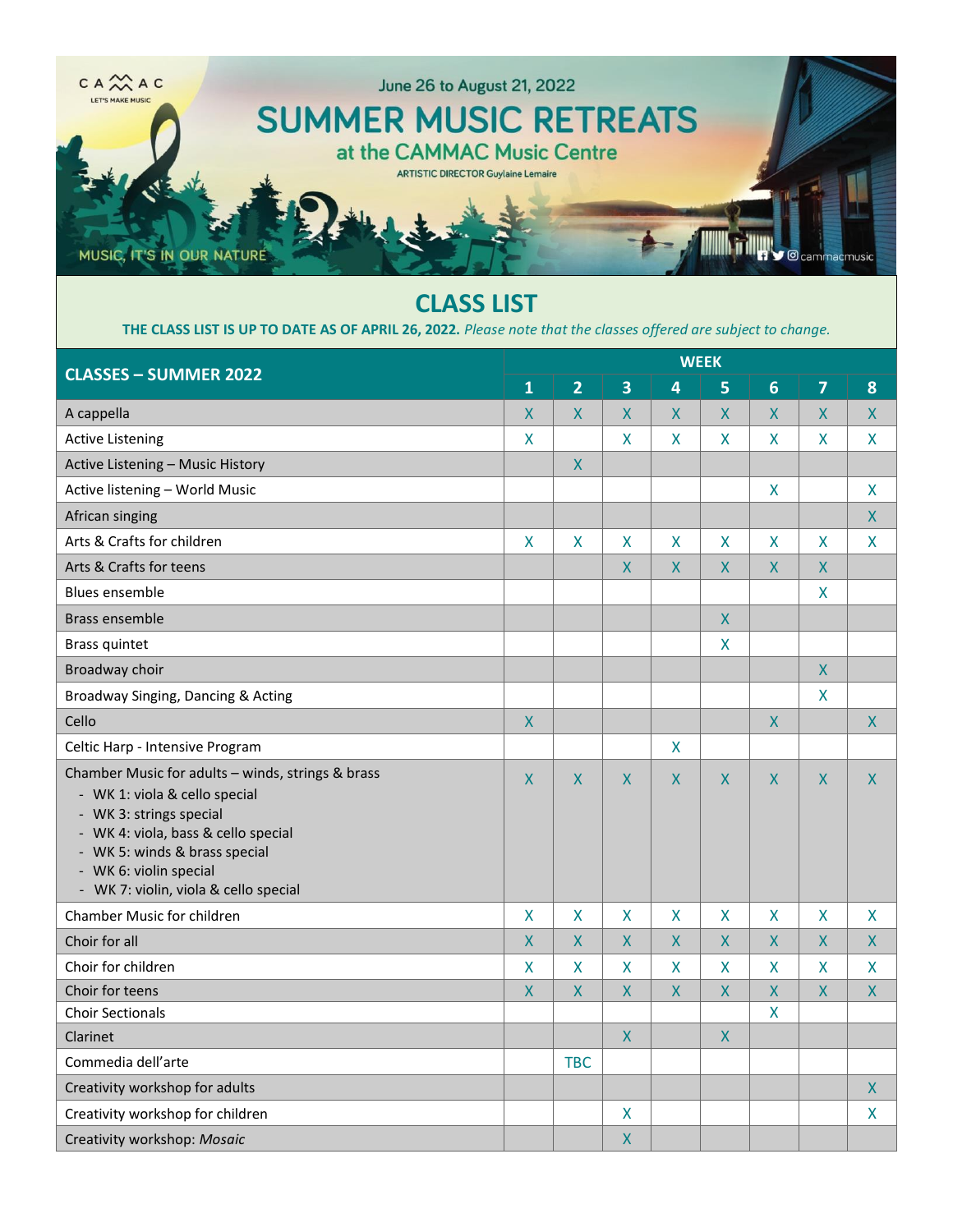

## **CLASS LIST**

**THE CLASS LIST IS UP TO DATE AS OF APRIL 26, 2022.** *Please note that the classes offered are subject to change.*

| <b>CLASSES - SUMMER 2022</b>                                                                                                                                                                                                                             | <b>WEEK</b>             |                    |                         |                    |                         |                    |                         |                |  |  |
|----------------------------------------------------------------------------------------------------------------------------------------------------------------------------------------------------------------------------------------------------------|-------------------------|--------------------|-------------------------|--------------------|-------------------------|--------------------|-------------------------|----------------|--|--|
|                                                                                                                                                                                                                                                          | $\mathbf{1}$            | $\overline{2}$     | $\overline{\mathbf{3}}$ | 4                  | 5                       | $6\phantom{1}$     | $\overline{7}$          | 8              |  |  |
| A cappella                                                                                                                                                                                                                                               | $\overline{X}$          | X.                 | X                       | $\overline{X}$     | $\overline{X}$          | $\overline{X}$     | $\mathsf{X}$            | $\mathsf{X}$   |  |  |
| <b>Active Listening</b>                                                                                                                                                                                                                                  | X                       |                    | X                       | X                  | $\mathsf{X}$            | X                  | $\overline{\mathsf{X}}$ | X              |  |  |
| Active Listening - Music History                                                                                                                                                                                                                         |                         | $\mathsf{X}% _{0}$ |                         |                    |                         |                    |                         |                |  |  |
| Active listening - World Music                                                                                                                                                                                                                           |                         |                    |                         |                    |                         | X                  |                         | X              |  |  |
| African singing                                                                                                                                                                                                                                          |                         |                    |                         |                    |                         |                    |                         | $\mathsf{X}$   |  |  |
| Arts & Crafts for children                                                                                                                                                                                                                               | $\mathsf{X}$            | X                  | $\mathsf{X}$            | X                  | $\overline{\mathsf{X}}$ | X                  | $\mathsf{X}$            | X              |  |  |
| Arts & Crafts for teens                                                                                                                                                                                                                                  |                         |                    | $\mathsf{X}$            | $\mathsf{X}$       | $\pmb{\mathsf{X}}$      | $\pmb{\mathsf{X}}$ | $\mathsf{X}$            |                |  |  |
| <b>Blues ensemble</b>                                                                                                                                                                                                                                    |                         |                    |                         |                    |                         |                    | $\pmb{\mathsf{X}}$      |                |  |  |
| <b>Brass ensemble</b>                                                                                                                                                                                                                                    |                         |                    |                         |                    | $\overline{\mathsf{X}}$ |                    |                         |                |  |  |
| <b>Brass quintet</b>                                                                                                                                                                                                                                     |                         |                    |                         |                    | $\pmb{\mathsf{X}}$      |                    |                         |                |  |  |
| Broadway choir                                                                                                                                                                                                                                           |                         |                    |                         |                    |                         |                    | $\overline{\mathsf{X}}$ |                |  |  |
| Broadway Singing, Dancing & Acting                                                                                                                                                                                                                       |                         |                    |                         |                    |                         |                    | $\mathsf{X}$            |                |  |  |
| Cello                                                                                                                                                                                                                                                    | $\mathsf{X}$            |                    |                         |                    |                         | $\mathsf{X}$       |                         | $\mathsf{X}$   |  |  |
| Celtic Harp - Intensive Program                                                                                                                                                                                                                          |                         |                    |                         | X                  |                         |                    |                         |                |  |  |
| Chamber Music for adults - winds, strings & brass<br>- WK 1: viola & cello special<br>- WK 3: strings special<br>- WK 4: viola, bass & cello special<br>- WK 5: winds & brass special<br>- WK 6: violin special<br>- WK 7: violin, viola & cello special | X                       | X                  | X                       | $\mathsf{X}$       | X                       | X                  | X                       | $\mathsf{X}$   |  |  |
| Chamber Music for children                                                                                                                                                                                                                               | $\mathsf{X}$            | X                  | $\overline{\mathsf{X}}$ | X                  | $\overline{\mathsf{X}}$ | X                  | $\overline{\mathsf{X}}$ | $\mathsf{X}$   |  |  |
| Choir for all                                                                                                                                                                                                                                            | $\mathsf{X}$            | X                  | $\pmb{\mathsf{X}}$      | $\pmb{\mathsf{X}}$ | $\mathsf{X}$            | $\pmb{\mathsf{X}}$ | $\pmb{\mathsf{X}}$      | $\mathsf{X}$   |  |  |
| Choir for children                                                                                                                                                                                                                                       | $\overline{\mathsf{X}}$ | $\mathsf{X}% _{0}$ | $\mathsf{X}$            | X                  | $\overline{\mathsf{X}}$ | X                  | $\mathsf{X}$            | X              |  |  |
| Choir for teens                                                                                                                                                                                                                                          | $\sf X$                 | $\mathsf{X}$       | $\mathsf{X}$            | $\mathsf{X}$       | $\mathsf{X}$            | $\mathsf{X}$       | $\mathsf{X}$            | $\mathsf{X}$   |  |  |
| <b>Choir Sectionals</b>                                                                                                                                                                                                                                  |                         |                    |                         |                    |                         | $\mathsf{X}$       |                         |                |  |  |
| Clarinet                                                                                                                                                                                                                                                 |                         |                    | $\pmb{\mathsf{X}}$      |                    | $\mathsf{X}$            |                    |                         |                |  |  |
| Commedia dell'arte                                                                                                                                                                                                                                       |                         | <b>TBC</b>         |                         |                    |                         |                    |                         |                |  |  |
| Creativity workshop for adults                                                                                                                                                                                                                           |                         |                    |                         |                    |                         |                    |                         | $\overline{X}$ |  |  |
| Creativity workshop for children                                                                                                                                                                                                                         |                         |                    | $\pmb{\mathsf{X}}$      |                    |                         |                    |                         | X              |  |  |
| Creativity workshop: Mosaic                                                                                                                                                                                                                              |                         |                    | $\overline{\mathsf{X}}$ |                    |                         |                    |                         |                |  |  |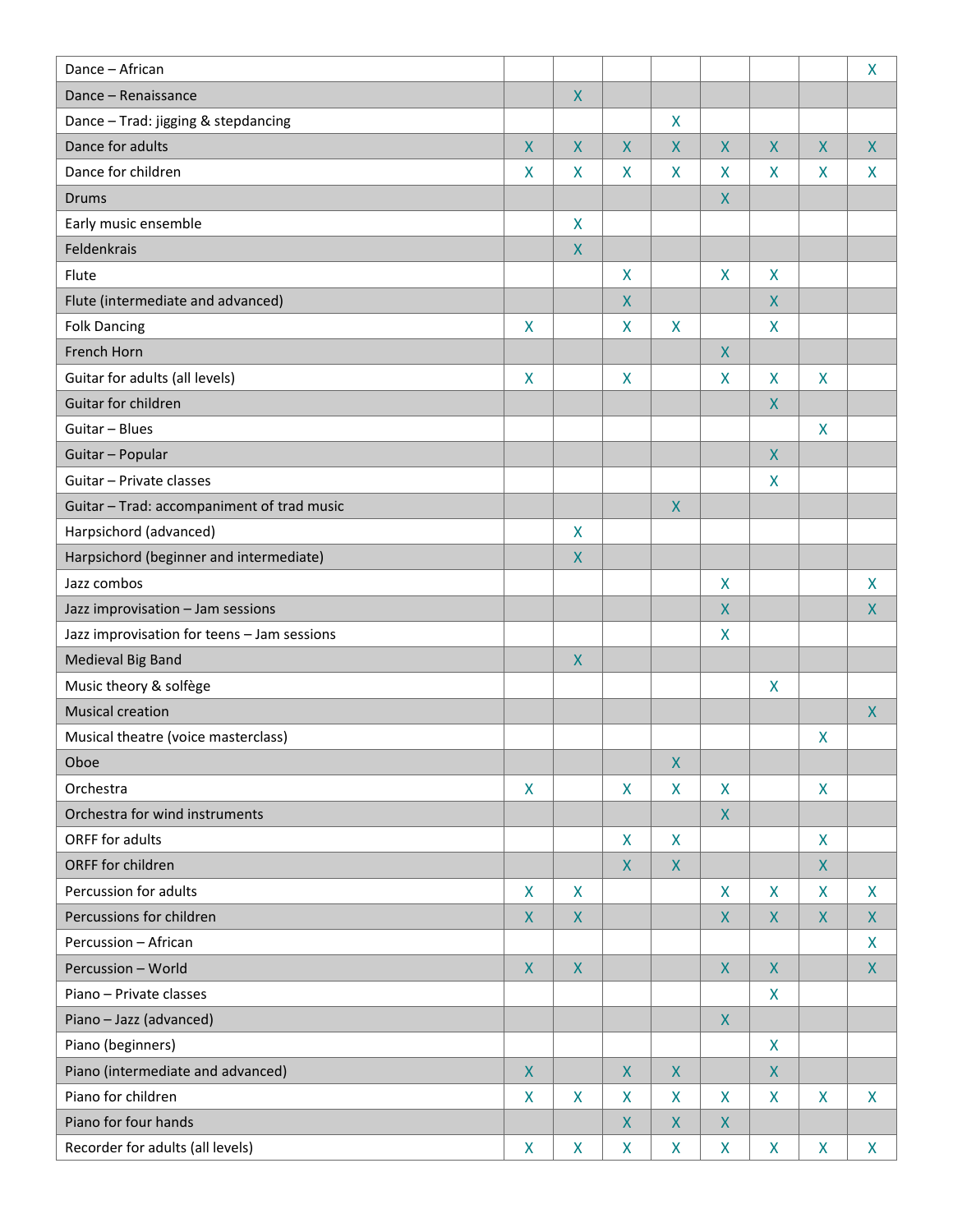| Dance - African                             |                    |                         |                           |                    |                           |                    |                         | $\pmb{\mathsf{X}}$        |
|---------------------------------------------|--------------------|-------------------------|---------------------------|--------------------|---------------------------|--------------------|-------------------------|---------------------------|
| Dance - Renaissance                         |                    | $\pmb{\mathsf{X}}$      |                           |                    |                           |                    |                         |                           |
| Dance - Trad: jigging & stepdancing         |                    |                         |                           | X                  |                           |                    |                         |                           |
| Dance for adults                            | X                  | $\mathsf{X}$            | $\mathsf{X}$              | $\mathsf{X}$       | $\mathsf{X}$              | $\mathsf{X}$       | $\mathsf{X}$            | $\mathsf{X}$              |
| Dance for children                          | X                  | X                       | X                         | X                  | $\boldsymbol{\mathsf{X}}$ | X                  | $\mathsf{X}$            | X                         |
| <b>Drums</b>                                |                    |                         |                           |                    | $\boldsymbol{X}$          |                    |                         |                           |
| Early music ensemble                        |                    | $\pmb{\mathsf{X}}$      |                           |                    |                           |                    |                         |                           |
| Feldenkrais                                 |                    | $\overline{\mathsf{X}}$ |                           |                    |                           |                    |                         |                           |
| Flute                                       |                    |                         | $\boldsymbol{\mathsf{X}}$ |                    | $\mathsf{X}$              | X                  |                         |                           |
| Flute (intermediate and advanced)           |                    |                         | $\boldsymbol{X}$          |                    |                           | $\mathsf{X}$       |                         |                           |
| <b>Folk Dancing</b>                         | X                  |                         | $\boldsymbol{\mathsf{X}}$ | X                  |                           | X                  |                         |                           |
| French Horn                                 |                    |                         |                           |                    | $\pmb{\mathsf{X}}$        |                    |                         |                           |
| Guitar for adults (all levels)              | X                  |                         | $\mathsf{X}$              |                    | $\mathsf{X}$              | X                  | $\overline{\mathsf{X}}$ |                           |
| Guitar for children                         |                    |                         |                           |                    |                           | $\mathsf{X}$       |                         |                           |
| Guitar - Blues                              |                    |                         |                           |                    |                           |                    | X                       |                           |
| Guitar - Popular                            |                    |                         |                           |                    |                           | $\pmb{\mathsf{X}}$ |                         |                           |
| Guitar - Private classes                    |                    |                         |                           |                    |                           | X                  |                         |                           |
| Guitar - Trad: accompaniment of trad music  |                    |                         |                           | X                  |                           |                    |                         |                           |
| Harpsichord (advanced)                      |                    | $\mathsf{X}$            |                           |                    |                           |                    |                         |                           |
| Harpsichord (beginner and intermediate)     |                    | $\mathsf{X}$            |                           |                    |                           |                    |                         |                           |
| Jazz combos                                 |                    |                         |                           |                    | $\mathsf{X}$              |                    |                         | $\boldsymbol{\mathsf{X}}$ |
| Jazz improvisation - Jam sessions           |                    |                         |                           |                    | $\boldsymbol{X}$          |                    |                         | X                         |
| Jazz improvisation for teens - Jam sessions |                    |                         |                           |                    | $\mathsf{X}$              |                    |                         |                           |
| Medieval Big Band                           |                    | $\sf X$                 |                           |                    |                           |                    |                         |                           |
| Music theory & solfège                      |                    |                         |                           |                    |                           | $\pmb{\mathsf{X}}$ |                         |                           |
| <b>Musical creation</b>                     |                    |                         |                           |                    |                           |                    |                         | $\mathsf{X}$              |
| Musical theatre (voice masterclass)         |                    |                         |                           |                    |                           |                    | X                       |                           |
| Oboe                                        |                    |                         |                           | $\pmb{\mathsf{X}}$ |                           |                    |                         |                           |
| Orchestra                                   | $\mathsf{X}$       |                         | $\pmb{\mathsf{X}}$        | X                  | $\mathsf{X}$              |                    | $\mathsf{X}$            |                           |
| Orchestra for wind instruments              |                    |                         |                           |                    | $\boldsymbol{X}$          |                    |                         |                           |
| ORFF for adults                             |                    |                         | $\boldsymbol{\mathsf{X}}$ | X                  |                           |                    | X                       |                           |
| ORFF for children                           |                    |                         | $\boldsymbol{X}$          | $\mathsf{X}$       |                           |                    | $\pmb{\mathsf{X}}$      |                           |
| Percussion for adults                       | X                  | X                       |                           |                    | $\mathsf{X}$              | $\pmb{\mathsf{X}}$ | $\mathsf{X}$            | $\mathsf{X}$              |
| Percussions for children                    | $\pmb{\mathsf{X}}$ | $\mathsf{X}$            |                           |                    | $\mathsf{X}$              | X                  | $\mathsf{X}$            | $\boldsymbol{X}$          |
| Percussion - African                        |                    |                         |                           |                    |                           |                    |                         | X                         |
| Percussion - World                          | $\pmb{\mathsf{X}}$ | $\overline{X}$          |                           |                    | $\mathsf{X}$              | $\pmb{\mathsf{X}}$ |                         | $\pmb{\mathsf{X}}$        |
| Piano - Private classes                     |                    |                         |                           |                    |                           | $\mathsf{X}$       |                         |                           |
| Piano - Jazz (advanced)                     |                    |                         |                           |                    | $\boldsymbol{X}$          |                    |                         |                           |
| Piano (beginners)                           |                    |                         |                           |                    |                           | X                  |                         |                           |
| Piano (intermediate and advanced)           | $\pmb{\mathsf{X}}$ |                         | $\boldsymbol{X}$          | $\mathsf{X}$       |                           | $\pmb{\mathsf{X}}$ |                         |                           |
| Piano for children                          | $\pmb{\mathsf{X}}$ | $\mathsf{X}% _{0}$      | X                         | X                  | $\mathsf{X}$              | $\pmb{\mathsf{X}}$ | $\mathsf{X}$            | $\mathsf{X}$              |
| Piano for four hands                        |                    |                         | $\mathsf{X}$              | X                  | $\boldsymbol{X}$          |                    |                         |                           |
| Recorder for adults (all levels)            | X                  | X                       | X                         | X                  | X                         | X                  | X                       | X                         |